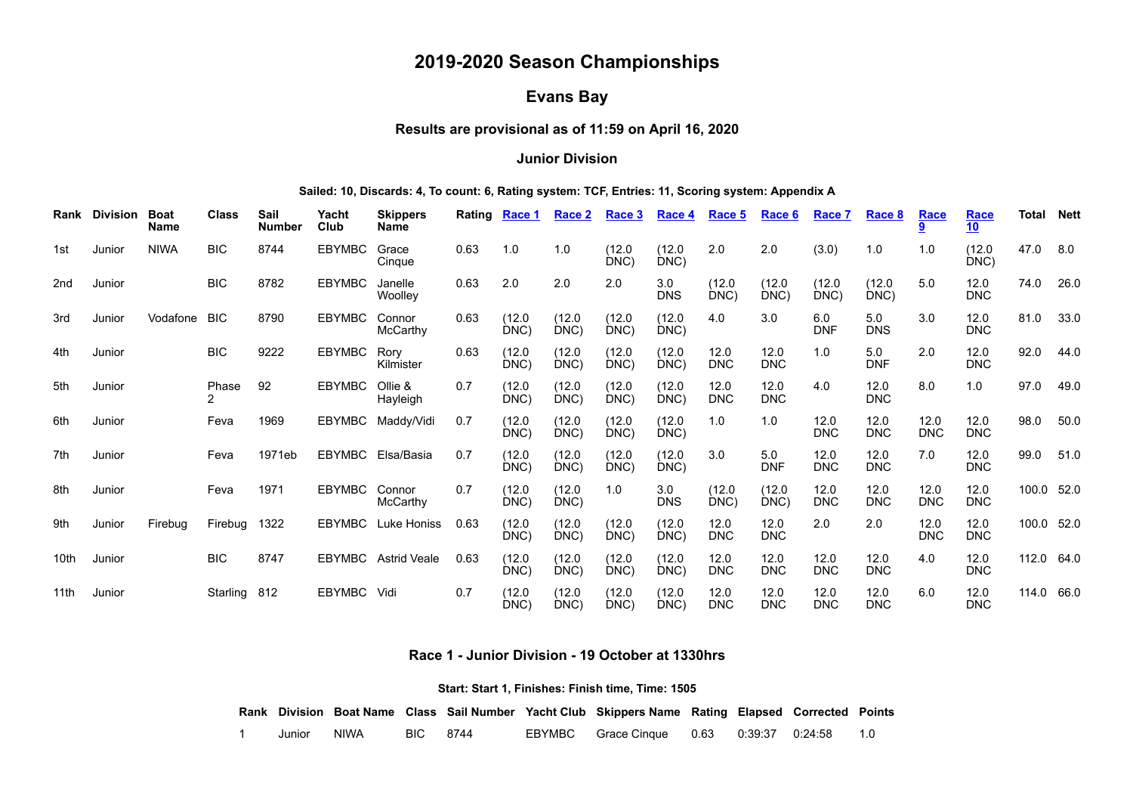# **2019-2020 Season Championships**

# **Evans Bay**

# **Results are provisional as of 11:59 on April 16, 2020**

#### **Junior Division**

#### **Sailed: 10, Discards: 4, To count: 6, Rating system: TCF, Entries: 11, Scoring system: Appendix A**

|                  | Rank Division | <b>Boat</b><br><b>Name</b> | <b>Class</b> | Sail<br><b>Number</b> | Yacht<br>Club | <b>Skippers</b><br><b>Name</b> | Rating Race 1 |                | Race 2         | Race 3         | Race 4            | Race 5             | Race 6             | Race 7             | Race 8             | <b>Race</b>        | Race<br>10         | <b>Total Nett</b> |      |
|------------------|---------------|----------------------------|--------------|-----------------------|---------------|--------------------------------|---------------|----------------|----------------|----------------|-------------------|--------------------|--------------------|--------------------|--------------------|--------------------|--------------------|-------------------|------|
| 1st              | Junior        | <b>NIWA</b>                | <b>BIC</b>   | 8744                  | <b>EBYMBC</b> | Grace<br>Cinque                | 0.63          | 1.0            | 1.0            | (12.0)<br>DNC) | (12.0)<br>DNC)    | 2.0                | 2.0                | (3.0)              | 1.0                | 1.0                | (12.0)<br>DNC)     | 47.0              | 8.0  |
| 2nd              | Junior        |                            | <b>BIC</b>   | 8782                  | <b>EBYMBC</b> | Janelle<br>Woolley             | 0.63          | 2.0            | 2.0            | 2.0            | 3.0<br><b>DNS</b> | (12.0)<br>DNC)     | (12.0)<br>DNC)     | (12.0)<br>DNC)     | (12.0)<br>DNC)     | 5.0                | 12.0<br><b>DNC</b> | 74.0              | 26.0 |
| 3rd              | Junior        | Vodafone                   | <b>BIC</b>   | 8790                  | EBYMBC        | Connor<br>McCarthy             | 0.63          | (12.0<br>DNC   | (12.0)<br>DNC) | (12.0<br>DNC)  | (12.0)<br>DNC)    | 4.0                | 3.0                | 6.0<br><b>DNF</b>  | 5.0<br><b>DNS</b>  | 3.0                | 12.0<br><b>DNC</b> | 81.0              | 33.0 |
| 4th              | Junior        |                            | <b>BIC</b>   | 9222                  | <b>EBYMBC</b> | Rory<br>Kilmister              | 0.63          | (12.0)<br>DNC) | (12.0)<br>DNC) | (12.0)<br>DNC) | (12.0)<br>DNC)    | 12.0<br><b>DNC</b> | 12.0<br><b>DNC</b> | 1.0                | 5.0<br><b>DNF</b>  | 2.0                | 12.0<br><b>DNC</b> | 92.0              | 44.0 |
| 5th              | Junior        |                            | Phase        | 92                    | <b>EBYMBC</b> | Ollie &<br>Hayleigh            | 0.7           | (12.0)<br>DNC) | (12.0)<br>DNC) | (12.0)<br>DNC) | (12.0)<br>DNC)    | 12.0<br><b>DNC</b> | 12.0<br><b>DNC</b> | 4.0                | 12.0<br><b>DNC</b> | 8.0                | 1.0                | 97.0              | 49.0 |
| 6th              | Junior        |                            | Feva         | 1969                  |               | EBYMBC Maddy/Vidi              | 0.7           | (12.0<br>DNC)  | (12.0)<br>DNC) | (12.0)<br>DNC) | (12.0)<br>DNC)    | 1.0                | 1.0                | 12.0<br><b>DNC</b> | 12.0<br><b>DNC</b> | 12.0<br><b>DNC</b> | 12.0<br><b>DNC</b> | 98.0              | 50.0 |
| 7th              | Junior        |                            | Feva         | 1971eb                |               | EBYMBC Elsa/Basia              | 0.7           | (12.0)<br>DNC) | (12.0)<br>DNC) | (12.0)<br>DNC) | (12.0)<br>DNC)    | 3.0                | 5.0<br><b>DNF</b>  | 12.0<br><b>DNC</b> | 12.0<br><b>DNC</b> | 7.0                | 12.0<br><b>DNC</b> | 99.0              | 51.0 |
| 8th              | Junior        |                            | Feva         | 1971                  | EBYMBC Connor | McCarthy                       | 0.7           | (12.0)<br>DNC) | (12.0)<br>DNC) | 1.0            | 3.0<br><b>DNS</b> | (12.0)<br>DNC)     | (12.0)<br>DNC)     | 12.0<br><b>DNC</b> | 12.0<br><b>DNC</b> | 12.0<br><b>DNC</b> | 12.0<br><b>DNC</b> | 100.0 52.0        |      |
| 9th              | Junior        | Firebug                    | Firebug      | 1322                  | <b>EBYMBC</b> | Luke Honiss                    | 0.63          | (12.0)<br>DNC) | (12.0)<br>DNC) | (12.0)<br>DNC) | (12.0)<br>DNC)    | 12.0<br><b>DNC</b> | 12.0<br><b>DNC</b> | 2.0                | 2.0                | 12.0<br><b>DNC</b> | 12.0<br><b>DNC</b> | 100.0 52.0        |      |
| 10 <sub>th</sub> | Junior        |                            | <b>BIC</b>   | 8747                  |               | EBYMBC Astrid Veale            | 0.63          | (12.0)<br>DNC) | (12.0<br>DNC)  | (12.0)<br>DNC) | (12.0)<br>DNC)    | 12.0<br><b>DNC</b> | 12.0<br><b>DNC</b> | 12.0<br><b>DNC</b> | 12.0<br><b>DNC</b> | 4.0                | 12.0<br><b>DNC</b> | 112.0 64.0        |      |
| 11th             | Junior        |                            | Starling     | 812                   | EBYMBC Vidi   |                                | 0.7           | (12.0<br>DNC)  | (12.0<br>DNC)  | (12.0)<br>DNC) | (12.0)<br>DNC)    | 12.0<br><b>DNC</b> | 12.0<br><b>DNC</b> | 12.0<br><b>DNC</b> | 12.0<br><b>DNC</b> | 6.0                | 12.0<br><b>DNC</b> | 114.0 66.0        |      |

**Race 1 - Junior Division - 19 October at 1330hrs**

**Start: Start 1, Finishes: Finish time, Time: 1505**

<span id="page-0-0"></span>**Rank Division Boat Name Class Sail Number Yacht Club Skippers Name Rating Elapsed Corrected Points**

1 Junior NIWA BIC 8744 EBYMBC Grace Cinque 0.63 0:39:37 0:24:58 1.0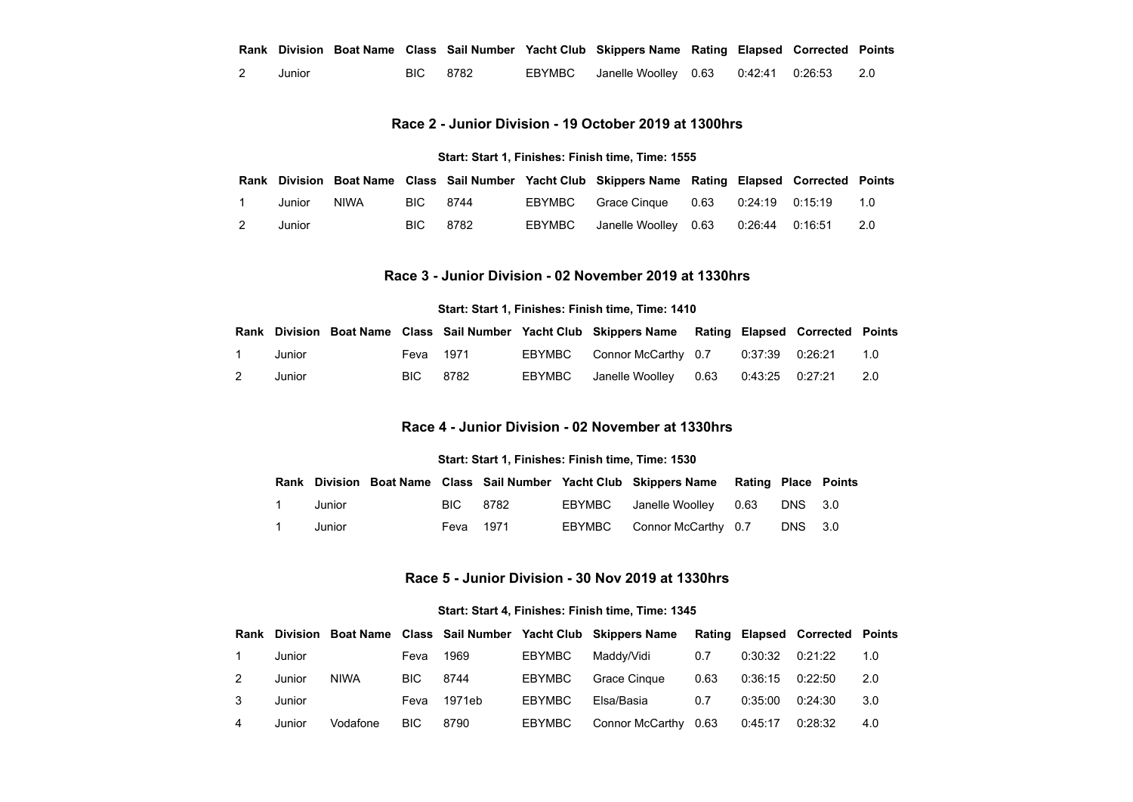|        |          |  | Rank Division Boat Name Class Sail Number Yacht Club Skippers Name Rating Elapsed Corrected Points |  |  |
|--------|----------|--|----------------------------------------------------------------------------------------------------|--|--|
| Junior | BIC 8782 |  | EBYMBC Janelle Woolley 0.63 0:42:41 0:26:53 2.0                                                    |  |  |

### **Race 2 - Junior Division - 19 October 2019 at 1300hrs**

#### **Start: Start 1, Finishes: Finish time, Time: 1555**

<span id="page-1-0"></span>

|   |        |       |          |        | Rank Division Boat Name Class Sail Number Yacht Club Skippers Name Rating Elapsed Corrected Points |  |     |
|---|--------|-------|----------|--------|----------------------------------------------------------------------------------------------------|--|-----|
|   | Junior | NIWA. | BIC 8744 |        | EBYMBC Grace Cinque 0.63 0:24:19 0:15:19                                                           |  | 1.0 |
| 2 | Junior |       | BIC 8782 | EBYMBC |                                                                                                    |  | 2.0 |

# **Race 3 - Junior Division - 02 November 2019 at 1330hrs**

#### **Start: Start 1, Finishes: Finish time, Time: 1410**

<span id="page-1-2"></span><span id="page-1-1"></span>

|   |        |           |      |        | Rank Division Boat Name Class Sail Number Yacht Club Skippers Name Rating Elapsed Corrected Points |  |     |
|---|--------|-----------|------|--------|----------------------------------------------------------------------------------------------------|--|-----|
|   | Junior | Feva 1971 |      |        | EBYMBC Connor McCarthy 0.7 0:37:39 0:26:21                                                         |  | 1.0 |
| 2 | Junior | BIC -     | 8782 | EBYMBC |                                                                                                    |  | 2.0 |

# **Race 4 - Junior Division - 02 November at 1330hrs**

#### **Start: Start 1, Finishes: Finish time, Time: 1530**

|                |        |           |  | Rank Division Boat Name Class Sail Number Yacht Club Skippers Name Rating Place Points |         |  |
|----------------|--------|-----------|--|----------------------------------------------------------------------------------------|---------|--|
| $\overline{1}$ | Junior | BIC 8782  |  | EBYMBC Janelle Woolley 0.63 DNS 3.0                                                    |         |  |
| $\overline{1}$ | Junior | Feva 1971 |  | EBYMBC Connor McCarthy 0.7                                                             | DNS 3.0 |  |

#### **Race 5 - Junior Division - 30 Nov 2019 at 1330hrs**

#### **Start: Start 4, Finishes: Finish time, Time: 1345**

<span id="page-1-3"></span>

| Rank |        |             |            |        |               | Division Boat Name Class Sail Number Yacht Club Skippers Name |      |         | <b>Rating Elapsed Corrected Points</b> |     |
|------|--------|-------------|------------|--------|---------------|---------------------------------------------------------------|------|---------|----------------------------------------|-----|
|      | Junior |             | Feva       | 1969   | <b>EBYMBC</b> | Maddv/Vidi                                                    | 0.7  | 0:30:32 | 0:21:22                                | 1.0 |
|      | Junior | <b>NIWA</b> | BIC.       | 8744   | <b>EBYMBC</b> | Grace Cingue                                                  | 0.63 | 0:36:15 | 0:22:50                                | 2.0 |
|      | Junior |             | Feva       | 1971eb | <b>EBYMBC</b> | Elsa/Basia                                                    | 0.7  | 0:35:00 | 0:24:30                                | 3.0 |
|      | Junior | Vodafone    | <b>BIC</b> | 8790   | EBYMBC        | Connor McCarthy 0.63                                          |      | 0:45:17 | 0:28:32                                | 4.0 |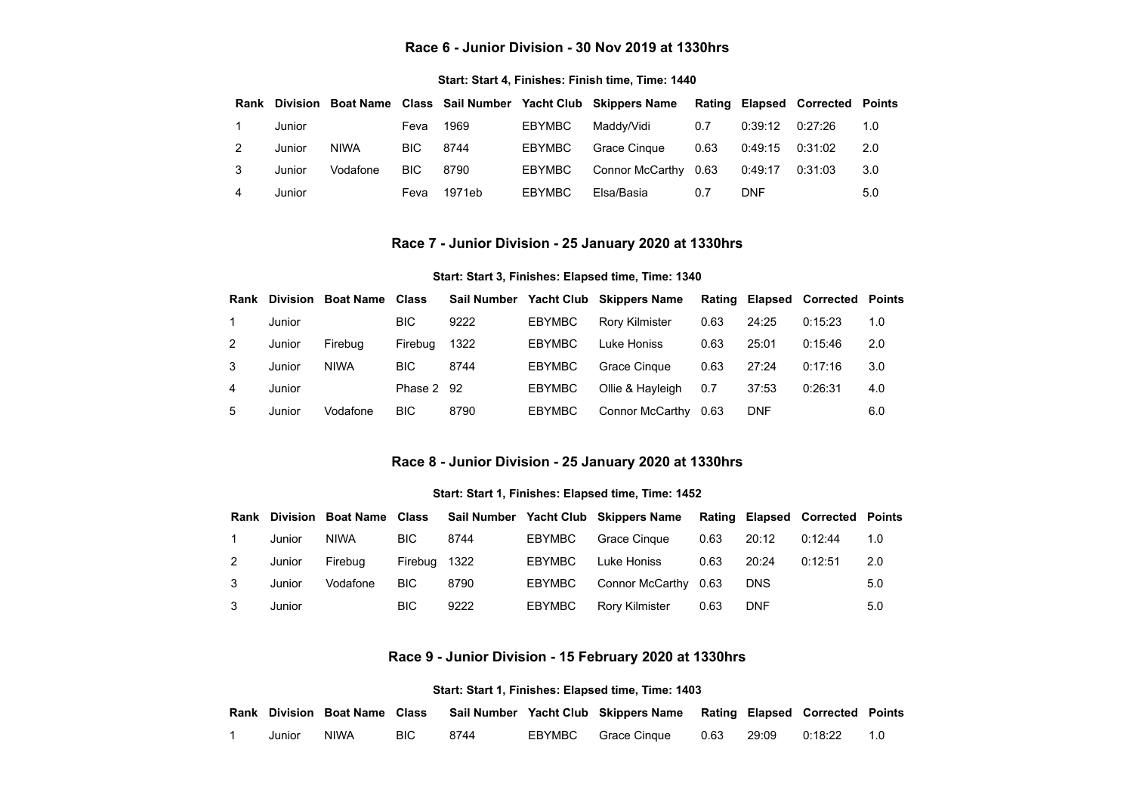#### **Race 6 - Junior Division - 30 Nov 2019 at 1330hrs**

#### **Start: Start 4, Finishes: Finish time, Time: 1440**

<span id="page-2-0"></span>

| Rank |        |             |      |        |               | Division Boat Name Class Sail Number Yacht Club Skippers Name Rating Elapsed Corrected Points |      |            |         |     |
|------|--------|-------------|------|--------|---------------|-----------------------------------------------------------------------------------------------|------|------------|---------|-----|
|      | Junior |             | Feva | 1969   | EBYMBC        | Maddv/Vidi                                                                                    | 0.7  | 0:39:12    | 0:27:26 | 1.0 |
|      | Junior | <b>NIWA</b> | BIC. | 8744   | <b>EBYMBC</b> | Grace Cingue                                                                                  | 0.63 | 0:49:15    | 0:31:02 | 2.0 |
| 3    | Junior | Vodafone    | BIC. | 8790   | EBYMBC        | Connor McCarthy 0.63                                                                          |      | 0:49:17    | 0:31:03 | 3.0 |
| 4    | Junior |             | Feva | 1971eb | EBYMBC        | Elsa/Basia                                                                                    | 0.7  | <b>DNF</b> |         | 5.0 |

#### **Race 7 - Junior Division - 25 January 2020 at 1330hrs**

#### **Start: Start 3, Finishes: Elapsed time, Time: 1340**

<span id="page-2-1"></span>

| Rank | <b>Division</b> | <b>Boat Name</b> | Class      | <b>Sail Number</b> |               | <b>Yacht Club Skippers Name</b> |      |            | Rating Elapsed Corrected Points |     |
|------|-----------------|------------------|------------|--------------------|---------------|---------------------------------|------|------------|---------------------------------|-----|
|      | Junior          |                  | <b>BIC</b> | 9222               | <b>EBYMBC</b> | <b>Rory Kilmister</b>           | 0.63 | 24:25      | 0:15:23                         | 1.0 |
| 2    | Junior          | Firebua          | Firebua    | 1322               | <b>EBYMBC</b> | Luke Honiss                     | 0.63 | 25:01      | 0:15:46                         | 2.0 |
| 3    | Junior          | <b>NIWA</b>      | <b>BIC</b> | 8744               | <b>EBYMBC</b> | Grace Cingue                    | 0.63 | 27:24      | 0:17:16                         | 3.0 |
| 4    | Junior          |                  | Phase 2 92 |                    | <b>EBYMBC</b> | Ollie & Hayleigh                | 0.7  | 37:53      | 0:26:31                         | 4.0 |
| 5    | Junior          | Vodafone         | <b>BIC</b> | 8790               | <b>EBYMBC</b> | Connor McCarthy                 | 0.63 | <b>DNF</b> |                                 | 6.0 |

# **Race 8 - Junior Division - 25 January 2020 at 1330hrs**

#### **Start: Start 1, Finishes: Elapsed time, Time: 1452**

<span id="page-2-2"></span>

| Rank |        | <b>Division Boat Name</b> | Class      |      |               | Sail Number Yacht Club Skippers Name |      |            | Rating Elapsed Corrected Points |     |
|------|--------|---------------------------|------------|------|---------------|--------------------------------------|------|------------|---------------------------------|-----|
|      | Junior | <b>NIWA</b>               | <b>BIC</b> | 8744 | <b>EBYMBC</b> | Grace Cingue                         | 0.63 | 20:12      | 0:12:44                         | 1.0 |
|      | Junior | Firebua                   | Firebua    | 1322 | <b>EBYMBC</b> | Luke Honiss                          | 0.63 | 20:24      | 0:12:51                         | 2.0 |
|      | Junior | Vodafone                  | <b>BIC</b> | 8790 | <b>EBYMBC</b> | Connor McCarthy                      | 0.63 | <b>DNS</b> |                                 | 5.0 |
|      | Junior |                           | <b>BIC</b> | 9222 | <b>EBYMBC</b> | <b>Rory Kilmister</b>                | 0.63 | <b>DNF</b> |                                 | 5.0 |

# **Race 9 - Junior Division - 15 February 2020 at 1330hrs**

#### **Start: Start 1, Finishes: Elapsed time, Time: 1403**

<span id="page-2-3"></span>

|             |            |      | Rank Division Boat Name Class Sail Number Yacht Club Skippers Name Rating Elapsed Corrected Points |  |               |  |
|-------------|------------|------|----------------------------------------------------------------------------------------------------|--|---------------|--|
| Junior NIWA | <b>BIC</b> | 8744 | EBYMBC Grace Cinque 0.63 29:09                                                                     |  | 0:18:22   1.0 |  |